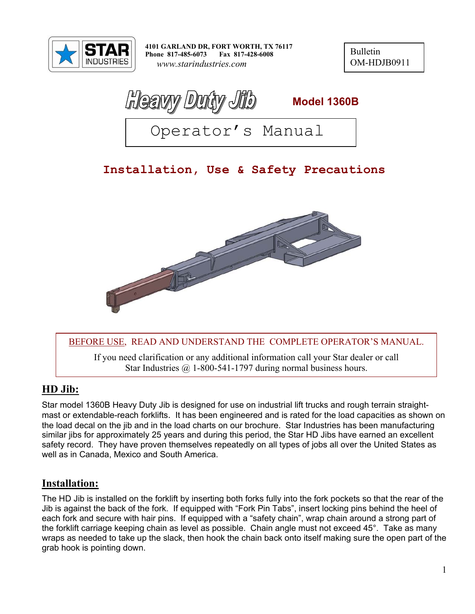

**4101 GARLAND DR, FORT WORTH, TX 76117 Phone 817-485-6073 Fax 817-428-6008**  *www.starindustries.com* 

Bulletin OM-HDJB0911

**Meavy** Duity Jib Model 1360B

Operator's Manual

# **Installation, Use & Safety Precautions**



#### BEFORE USE, READ AND UNDERSTAND THE COMPLETE OPERATOR'S MANUAL.

If you need clarification or any additional information call your Star dealer or call Star Industries  $\omega$  1-800-541-1797 during normal business hours.

### **HD Jib:**

Star model 1360B Heavy Duty Jib is designed for use on industrial lift trucks and rough terrain straightmast or extendable-reach forklifts. It has been engineered and is rated for the load capacities as shown on the load decal on the jib and in the load charts on our brochure. Star Industries has been manufacturing similar jibs for approximately 25 years and during this period, the Star HD Jibs have earned an excellent safety record. They have proven themselves repeatedly on all types of jobs all over the United States as well as in Canada, Mexico and South America.

### **Installation:**

The HD Jib is installed on the forklift by inserting both forks fully into the fork pockets so that the rear of the Jib is against the back of the fork. If equipped with "Fork Pin Tabs", insert locking pins behind the heel of each fork and secure with hair pins. If equipped with a "safety chain", wrap chain around a strong part of the forklift carriage keeping chain as level as possible. Chain angle must not exceed 45°. Take as many wraps as needed to take up the slack, then hook the chain back onto itself making sure the open part of the grab hook is pointing down.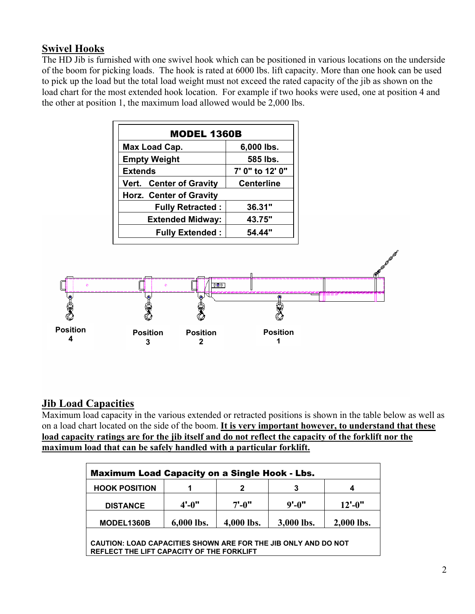# **Swivel Hooks**

The HD Jib is furnished with one swivel hook which can be positioned in various locations on the underside of the boom for picking loads. The hook is rated at 6000 lbs. lift capacity. More than one hook can be used to pick up the load but the total load weight must not exceed the rated capacity of the jib as shown on the load chart for the most extended hook location. For example if two hooks were used, one at position 4 and the other at position 1, the maximum load allowed would be 2,000 lbs.

| <b>MODEL 1360B</b>                           |                 |  |  |  |
|----------------------------------------------|-----------------|--|--|--|
| Max Load Cap.<br>6,000 lbs.                  |                 |  |  |  |
| <b>Empty Weight</b>                          | 585 lbs.        |  |  |  |
| <b>Extends</b>                               | 7' 0" to 12' 0" |  |  |  |
| Vert. Center of Gravity<br><b>Centerline</b> |                 |  |  |  |
| <b>Horz. Center of Gravity</b>               |                 |  |  |  |
| <b>Fully Retracted:</b>                      | 36.31"          |  |  |  |
| <b>Extended Midway:</b>                      | 43.75"          |  |  |  |
| <b>Fully Extended:</b>                       | 54.44"          |  |  |  |



### **Jib Load Capacities**

Maximum load capacity in the various extended or retracted positions is shown in the table below as well as on a load chart located on the side of the boom. **It is very important however, to understand that these load capacity ratings are for the jib itself and do not reflect the capacity of the forklift nor the maximum load that can be safely handled with a particular forklift.** 

| <b>Maximum Load Capacity on a Single Hook - Lbs.</b>                                                               |                 |            |            |             |
|--------------------------------------------------------------------------------------------------------------------|-----------------|------------|------------|-------------|
| <b>HOOK POSITION</b>                                                                                               | 1               | 2          | 3          | 4           |
| <b>DISTANCE</b>                                                                                                    | $4^{\circ}$ -0" | $7' - 0''$ | $9'$ -0"   | $12' - 0''$ |
| MODEL1360B                                                                                                         | 6,000 lbs.      | 4,000 lbs. | 3,000 lbs. | 2,000 lbs.  |
| <b>CAUTION: LOAD CAPACITIES SHOWN ARE FOR THE JIB ONLY AND DO NOT</b><br>REFLECT THE LIFT CAPACITY OF THE FORKLIFT |                 |            |            |             |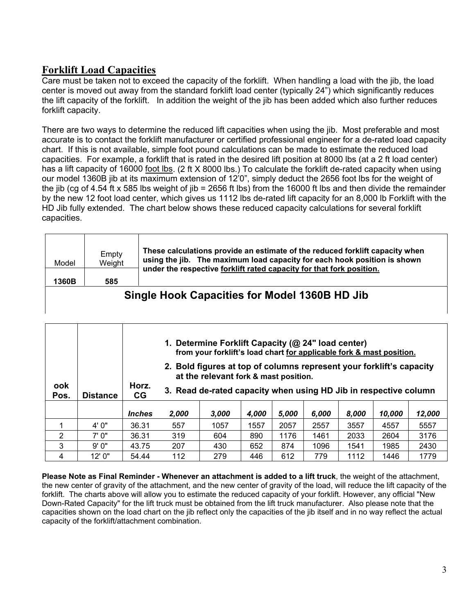# **Forklift Load Capacities**

Care must be taken not to exceed the capacity of the forklift. When handling a load with the jib, the load center is moved out away from the standard forklift load center (typically 24") which significantly reduces the lift capacity of the forklift. In addition the weight of the jib has been added which also further reduces forklift capacity.

There are two ways to determine the reduced lift capacities when using the jib. Most preferable and most accurate is to contact the forklift manufacturer or certified professional engineer for a de-rated load capacity chart. If this is not available, simple foot pound calculations can be made to estimate the reduced load capacities. For example, a forklift that is rated in the desired lift position at 8000 lbs (at a 2 ft load center) has a lift capacity of 16000 foot lbs. (2 ft X 8000 lbs.) To calculate the forklift de-rated capacity when using our model 1360B jib at its maximum extension of 12'0", simply deduct the 2656 foot lbs for the weight of the jib (cg of 4.54 ft x 585 lbs weight of jib = 2656 ft lbs) from the 16000 ft lbs and then divide the remainder by the new 12 foot load center, which gives us 1112 lbs de-rated lift capacity for an 8,000 lb Forklift with the HD Jib fully extended. The chart below shows these reduced capacity calculations for several forklift capacities.

| Model<br>1360B | Empty<br>Weight<br>585                        | These calculations provide an estimate of the reduced forklift capacity when<br>using the jib. The maximum load capacity for each hook position is shown<br>under the respective forklift rated capacity for that fork position. |  |  |  |
|----------------|-----------------------------------------------|----------------------------------------------------------------------------------------------------------------------------------------------------------------------------------------------------------------------------------|--|--|--|
|                | Single Hook Capacities for Model 1360B HD Jib |                                                                                                                                                                                                                                  |  |  |  |

|             |                 |                             | 1. Determine Forklift Capacity (@ 24" load center)<br>from your forklift's load chart for applicable fork & mast position.<br>2. Bold figures at top of columns represent your forklift's capacity |                                                                                                           |       |       |       |       |        |        |
|-------------|-----------------|-----------------------------|----------------------------------------------------------------------------------------------------------------------------------------------------------------------------------------------------|-----------------------------------------------------------------------------------------------------------|-------|-------|-------|-------|--------|--------|
| ook<br>Pos. | <b>Distance</b> | Horz.<br><b>CG</b>          |                                                                                                                                                                                                    | at the relevant fork & mast position.<br>3. Read de-rated capacity when using HD Jib in respective column |       |       |       |       |        |        |
|             |                 | <i><u><b>Inches</b></u></i> | 2.000                                                                                                                                                                                              | 3.000                                                                                                     | 4.000 | 5.000 | 6.000 | 8.000 | 10.000 | 12.000 |
|             | 4'0''           | 36.31                       | 557                                                                                                                                                                                                | 1057                                                                                                      | 1557  | 2057  | 2557  | 3557  | 4557   | 5557   |
| 2           | 7'0''           | 36.31                       | 319                                                                                                                                                                                                | 604                                                                                                       | 890   | 1176  | 1461  | 2033  | 2604   | 3176   |
| 3           | 9'0"            | 43.75                       | 207                                                                                                                                                                                                | 430                                                                                                       | 652   | 874   | 1096  | 1541  | 1985   | 2430   |
| 4           | 12'0"           | 54.44                       | 112                                                                                                                                                                                                | 279                                                                                                       | 446   | 612   | 779   | 1112  | 1446   | 1779   |

**Please Note as Final Reminder - Whenever an attachment is added to a lift truck**, the weight of the attachment, the new center of gravity of the attachment, and the new center of gravity of the load, will reduce the lift capacity of the forklift. The charts above will allow you to estimate the reduced capacity of your forklift. However, any official "New Down-Rated Capacity" for the lift truck must be obtained from the lift truck manufacturer. Also please note that the capacities shown on the load chart on the jib reflect only the capacities of the jib itself and in no way reflect the actual capacity of the forklift/attachment combination.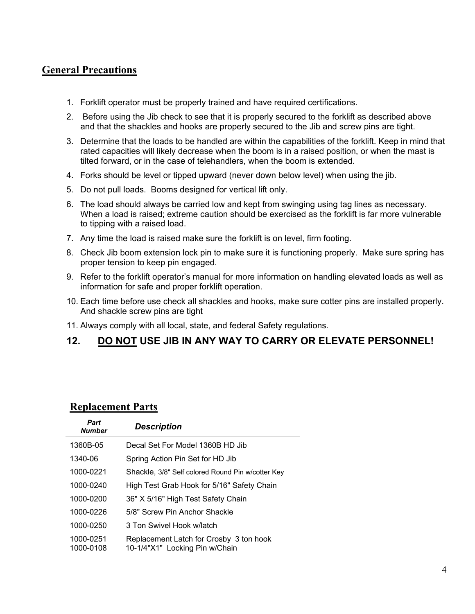### **General Precautions**

- 1. Forklift operator must be properly trained and have required certifications.
- 2. Before using the Jib check to see that it is properly secured to the forklift as described above and that the shackles and hooks are properly secured to the Jib and screw pins are tight.
- 3. Determine that the loads to be handled are within the capabilities of the forklift. Keep in mind that rated capacities will likely decrease when the boom is in a raised position, or when the mast is tilted forward, or in the case of telehandlers, when the boom is extended.
- 4. Forks should be level or tipped upward (never down below level) when using the jib.
- 5. Do not pull loads. Booms designed for vertical lift only.
- 6. The load should always be carried low and kept from swinging using tag lines as necessary. When a load is raised; extreme caution should be exercised as the forklift is far more vulnerable to tipping with a raised load.
- 7. Any time the load is raised make sure the forklift is on level, firm footing.
- 8. Check Jib boom extension lock pin to make sure it is functioning properly. Make sure spring has proper tension to keep pin engaged.
- 9. Refer to the forklift operator's manual for more information on handling elevated loads as well as information for safe and proper forklift operation.
- 10. Each time before use check all shackles and hooks, make sure cotter pins are installed properly. And shackle screw pins are tight
- 11. Always comply with all local, state, and federal Safety regulations.

#### **12. DO NOT USE JIB IN ANY WAY TO CARRY OR ELEVATE PERSONNEL!**

#### **Replacement Parts**

| Part<br><b>Number</b>  | <b>Description</b>                                                        |
|------------------------|---------------------------------------------------------------------------|
| 1360B-05               | Decal Set For Model 1360B HD Jib                                          |
| 1340-06                | Spring Action Pin Set for HD Jib                                          |
| 1000-0221              | Shackle, 3/8" Self colored Round Pin w/cotter Key                         |
| 1000-0240              | High Test Grab Hook for 5/16" Safety Chain                                |
| 1000-0200              | 36" X 5/16" High Test Safety Chain                                        |
| 1000-0226              | 5/8" Screw Pin Anchor Shackle                                             |
| 1000-0250              | 3 Ton Swivel Hook w/latch                                                 |
| 1000-0251<br>1000-0108 | Replacement Latch for Crosby 3 ton hook<br>10-1/4"X1" Locking Pin w/Chain |